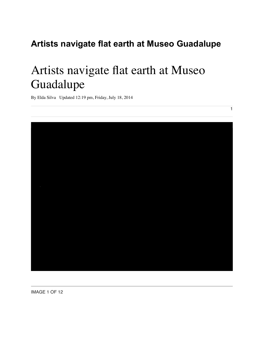## **Artists navigate flat earth at Museo Guadalupe**

## Artists navigate flat earth at Museo Guadalupe

By Elda Silva Updated 12:19 pm, Friday, July 18, 2014



1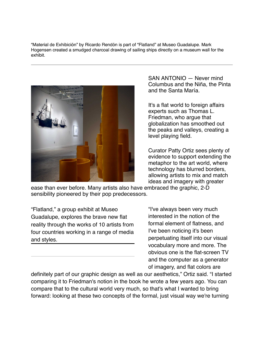"Material de Exhibición" by Ricardo Rendón is part of "Flatland" at Museo Guadalupe. Mark Hogensen created a smudged charcoal drawing of sailing ships directly on a museum wall for the exhibit.



SAN ANTONIO — Never mind Columbus and the Niña, the Pinta and the Santa María.

It's a flat world to foreign affairs experts such as Thomas L. Friedman, who argue that globalization has smoothed out the peaks and valleys, creating a level playing field.

Curator Patty Ortiz sees plenty of evidence to support extending the metaphor to the art world, where technology has blurred borders, allowing artists to mix and match ideas and imagery with greater

ease than ever before. Many artists also have embraced the graphic, 2-D sensibility pioneered by their pop predecessors.

"Flatland," a group exhibit at Museo Guadalupe, explores the brave new flat reality through the works of 10 artists from four countries working in a range of media and styles.

"I've always been very much interested in the notion of the formal element of flatness, and I've been noticing it's been perpetuating itself into our visual vocabulary more and more. The obvious one is the flat-screen TV and the computer as a generator of imagery, and flat colors are

definitely part of our graphic design as well as our aesthetics," Ortiz said. "I started comparing it to Friedman's notion in the book he wrote a few years ago. You can compare that to the cultural world very much, so that's what I wanted to bring forward: looking at these two concepts of the formal, just visual way we're turning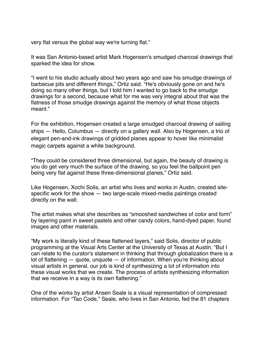very flat versus the global way we're turning flat."

It was San Antonio-based artist Mark Hogensen's smudged charcoal drawings that sparked the idea for show.

"I went to his studio actually about two years ago and saw his smudge drawings of barbecue pits and different things," Ortiz said. "He's obviously gone on and he's doing so many other things, but I told him I wanted to go back to the smudge drawings for a second, because what for me was very integral about that was the flatness of those smudge drawings against the memory of what those objects meant."

For the exhibition, Hogensen created a large smudged charcoal drawing of sailing ships — Hello, Columbus — directly on a gallery wall. Also by Hogensen, a trio of elegant pen-and-ink drawings of gridded planes appear to hover like minimalist magic carpets against a white background.

"They could be considered three dimensional, but again, the beauty of drawing is you do get very much the surface of the drawing, so you feel the ballpoint pen being very flat against these three-dimensional planes," Ortiz said.

Like Hogensen, Xochi Solis, an artist who lives and works in Austin, created sitespecific work for the show — two large-scale mixed-media paintings created directly on the wall.

The artist makes what she describes as "smooshed sandwiches of color and form" by layering paint in sweet pastels and other candy colors, hand-dyed paper, found images and other materials.

"My work is literally kind of these flattened layers," said Solis, director of public programming at the Visual Arts Center at the University of Texas at Austin. "But I can relate to the curator's statement in thinking that through globalization there is a lot of flattening  $-$  quote, unquote  $-$  of information. When you're thinking about visual artists in general, our job is kind of synthesizing a lot of information into these visual works that we create. The process of artists synthesizing information that we receive in a way is its own flattening."

One of the works by artist Ansen Seale is a visual representation of compressed information. For "Tao Code," Seale, who lives in San Antonio, fed the 81 chapters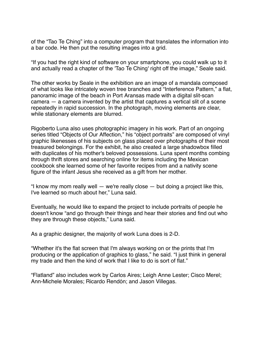of the "Tao Te Ching" into a computer program that translates the information into a bar code. He then put the resulting images into a grid.

"If you had the right kind of software on your smartphone, you could walk up to it and actually read a chapter of the 'Tao Te Ching' right off the image," Seale said.

The other works by Seale in the exhibition are an image of a mandala composed of what looks like intricately woven tree branches and "Interference Pattern," a flat, panoramic image of the beach in Port Aransas made with a digital slit-scan camera — a camera invented by the artist that captures a vertical slit of a scene repeatedly in rapid succession. In the photograph, moving elements are clear, while stationary elements are blurred.

Rigoberto Luna also uses photographic imagery in his work. Part of an ongoing series titled "Objects of Our Affection," his "object portraits" are composed of vinyl graphic likenesses of his subjects on glass placed over photographs of their most treasured belongings. For the exhibit, he also created a large shadowbox filled with duplicates of his mother's beloved possessions. Luna spent months combing through thrift stores and searching online for items including the Mexican cookbook she learned some of her favorite recipes from and a nativity scene figure of the infant Jesus she received as a gift from her mother.

"I know my mom really well — we're really close — but doing a project like this, I've learned so much about her," Luna said.

Eventually, he would like to expand the project to include portraits of people he doesn't know "and go through their things and hear their stories and find out who they are through these objects," Luna said.

As a graphic designer, the majority of work Luna does is 2-D.

"Whether it's the flat screen that I'm always working on or the prints that I'm producing or the application of graphics to glass," he said. "I just think in general my trade and then the kind of work that I like to do is sort of flat."

"Flatland" also includes work by Carlos Aires; Leigh Anne Lester; Cisco Merel; Ann-Michele Morales; Ricardo Rendón; and Jason Villegas.